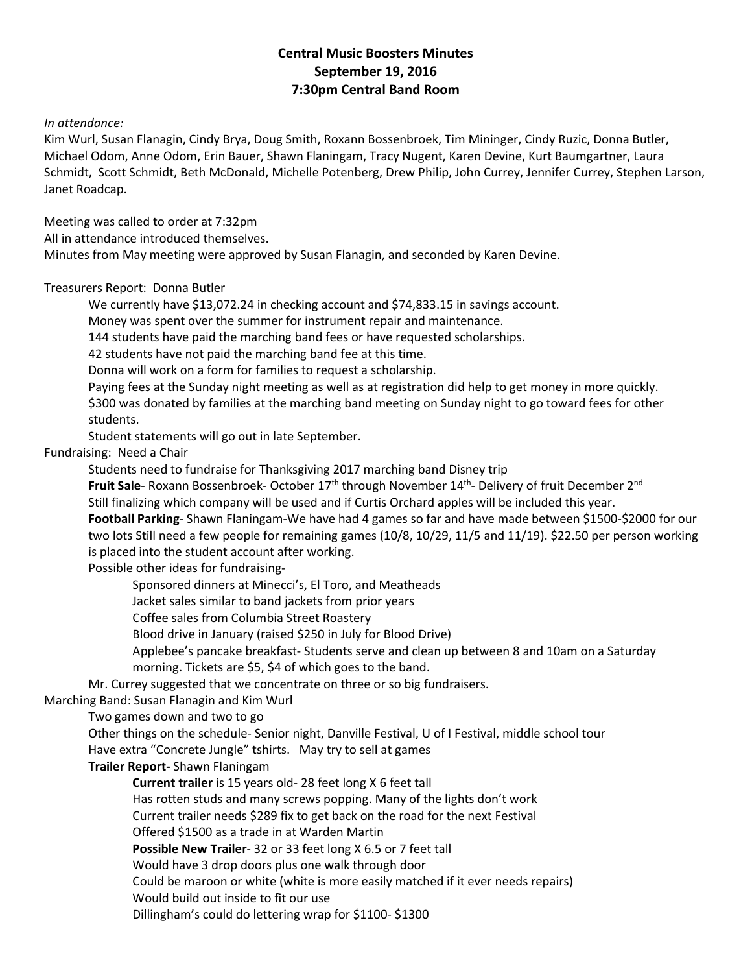# **Central Music Boosters Minutes September 19, 2016 7:30pm Central Band Room**

## *In attendance:*

Kim Wurl, Susan Flanagin, Cindy Brya, Doug Smith, Roxann Bossenbroek, Tim Mininger, Cindy Ruzic, Donna Butler, Michael Odom, Anne Odom, Erin Bauer, Shawn Flaningam, Tracy Nugent, Karen Devine, Kurt Baumgartner, Laura Schmidt, Scott Schmidt, Beth McDonald, Michelle Potenberg, Drew Philip, John Currey, Jennifer Currey, Stephen Larson, Janet Roadcap.

Meeting was called to order at 7:32pm

All in attendance introduced themselves.

Minutes from May meeting were approved by Susan Flanagin, and seconded by Karen Devine.

# Treasurers Report: Donna Butler

We currently have \$13,072.24 in checking account and \$74,833.15 in savings account.

Money was spent over the summer for instrument repair and maintenance.

144 students have paid the marching band fees or have requested scholarships.

42 students have not paid the marching band fee at this time.

Donna will work on a form for families to request a scholarship.

Paying fees at the Sunday night meeting as well as at registration did help to get money in more quickly. \$300 was donated by families at the marching band meeting on Sunday night to go toward fees for other students.

Student statements will go out in late September.

Fundraising: Need a Chair

Students need to fundraise for Thanksgiving 2017 marching band Disney trip

Fruit Sale- Roxann Bossenbroek- October 17<sup>th</sup> through November 14<sup>th</sup>- Delivery of fruit December 2<sup>nd</sup>

Still finalizing which company will be used and if Curtis Orchard apples will be included this year.

**Football Parking**- Shawn Flaningam-We have had 4 games so far and have made between \$1500-\$2000 for our two lots Still need a few people for remaining games (10/8, 10/29, 11/5 and 11/19). \$22.50 per person working is placed into the student account after working.

Possible other ideas for fundraising-

Sponsored dinners at Minecci's, El Toro, and Meatheads

Jacket sales similar to band jackets from prior years

Coffee sales from Columbia Street Roastery

Blood drive in January (raised \$250 in July for Blood Drive)

Applebee's pancake breakfast- Students serve and clean up between 8 and 10am on a Saturday morning. Tickets are \$5, \$4 of which goes to the band.

Mr. Currey suggested that we concentrate on three or so big fundraisers.

Marching Band: Susan Flanagin and Kim Wurl

Two games down and two to go

Other things on the schedule- Senior night, Danville Festival, U of I Festival, middle school tour Have extra "Concrete Jungle" tshirts. May try to sell at games

# **Trailer Report-** Shawn Flaningam

**Current trailer** is 15 years old- 28 feet long X 6 feet tall Has rotten studs and many screws popping. Many of the lights don't work Current trailer needs \$289 fix to get back on the road for the next Festival Offered \$1500 as a trade in at Warden Martin **Possible New Trailer**- 32 or 33 feet long X 6.5 or 7 feet tall Would have 3 drop doors plus one walk through door Could be maroon or white (white is more easily matched if it ever needs repairs) Would build out inside to fit our use Dillingham's could do lettering wrap for \$1100- \$1300